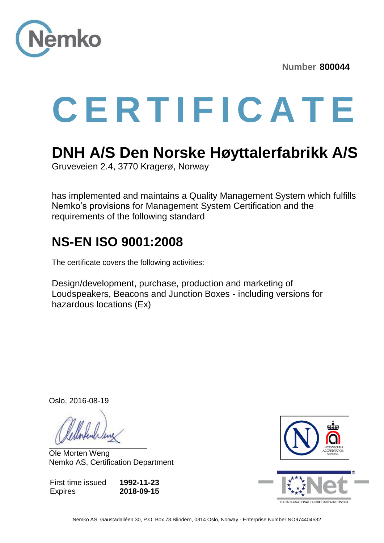

**Number 800044** 

# **C E R T I F I C A T E**

## **DNH A/S Den Norske Høyttalerfabrikk A/S**

Gruveveien 2.4, 3770 Kragerø, Norway

has implemented and maintains a Quality Management System which fulfills Nemko's provisions for Management System Certification and the requirements of the following standard

#### **NS-EN ISO 9001:2008**

The certificate covers the following activities:

Design/development, purchase, production and marketing of Loudspeakers, Beacons and Junction Boxes - including versions for hazardous locations (Ex)

Oslo, 2016-08-19

Ole Morten Weng Nemko AS, Certification Department

First time issued **Expires 1992-11-23 2018-09-15**